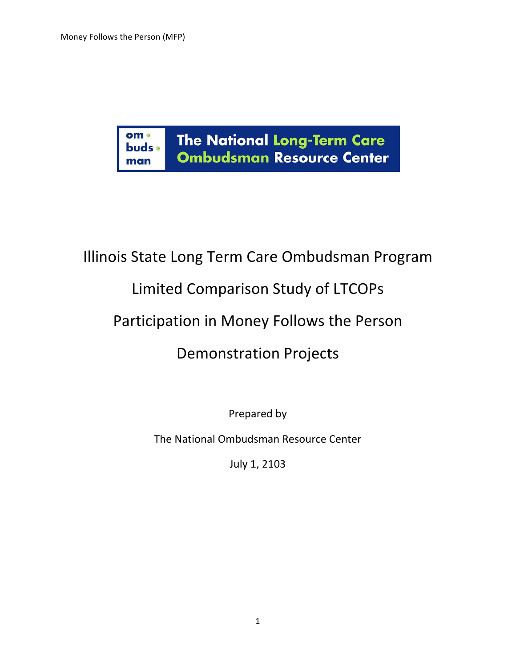

# Illinois State Long Term Care Ombudsman Program

# Limited Comparison Study of LTCOPs

# Participation in Money Follows the Person

# Demonstration Projects

Prepared by

The National Ombudsman Resource Center

July 1, 2103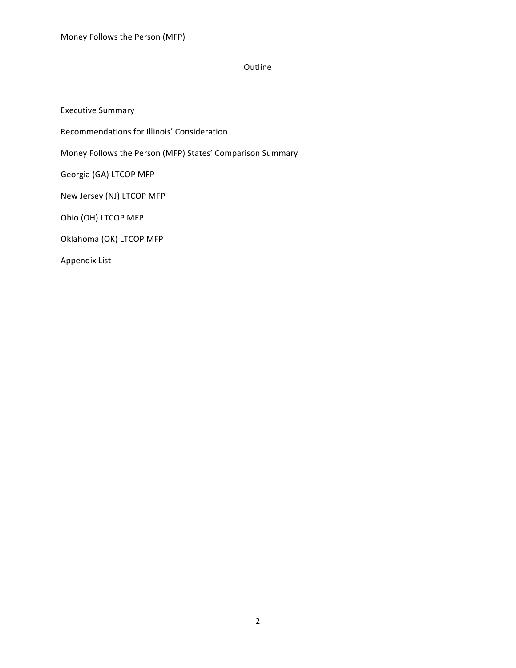## Outline

Executive Summary Recommendations for Illinois' Consideration Money Follows the Person (MFP) States' Comparison Summary Georgia (GA) LTCOP MFP New Jersey (NJ) LTCOP MFP Ohio (OH) LTCOP MFP Oklahoma (OK) LTCOP MFP Appendix List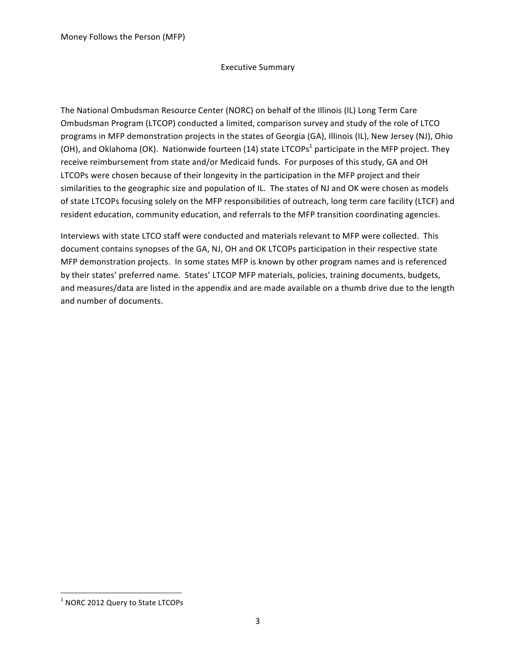#### **Executive Summary**

The National Ombudsman Resource Center (NORC) on behalf of the Illinois (IL) Long Term Care Ombudsman Program (LTCOP) conducted a limited, comparison survey and study of the role of LTCO programs in MFP demonstration projects in the states of Georgia (GA), Illinois (IL), New Jersey (NJ), Ohio (OH), and Oklahoma (OK). Nationwide fourteen (14) state LTCOPs<sup>1</sup> participate in the MFP project. They receive reimbursement from state and/or Medicaid funds. For purposes of this study, GA and OH LTCOPs were chosen because of their longevity in the participation in the MFP project and their similarities to the geographic size and population of IL. The states of NJ and OK were chosen as models of state LTCOPs focusing solely on the MFP responsibilities of outreach, long term care facility (LTCF) and resident education, community education, and referrals to the MFP transition coordinating agencies.

Interviews with state LTCO staff were conducted and materials relevant to MFP were collected. This document contains synopses of the GA, NJ, OH and OK LTCOPs participation in their respective state MFP demonstration projects. In some states MFP is known by other program names and is referenced by their states' preferred name. States' LTCOP MFP materials, policies, training documents, budgets, and measures/data are listed in the appendix and are made available on a thumb drive due to the length and number of documents.

<sup>&</sup>amp;&&&&&&&&&&&&&&&&&&&&&&&&&&&&&&&&&&&&&&&&&&&&&&&&&&&&&&&&&&&  $<sup>1</sup>$  NORC 2012 Query to State LTCOPs</sup>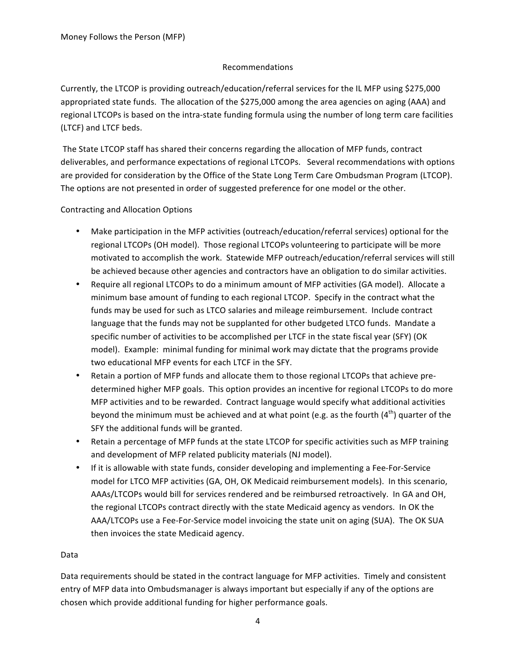#### Recommendations&

Currently, the LTCOP is providing outreach/education/referral services for the IL MFP using \$275,000 appropriated state funds. The allocation of the \$275,000 among the area agencies on aging (AAA) and regional LTCOPs is based on the intra-state funding formula using the number of long term care facilities (LTCF) and LTCF beds.

The State LTCOP staff has shared their concerns regarding the allocation of MFP funds, contract deliverables, and performance expectations of regional LTCOPs. Several recommendations with options are provided for consideration by the Office of the State Long Term Care Ombudsman Program (LTCOP). The options are not presented in order of suggested preference for one model or the other.

### Contracting and Allocation Options

- Make participation in the MFP activities (outreach/education/referral services) optional for the regional LTCOPs (OH model). Those regional LTCOPs volunteering to participate will be more motivated to accomplish the work. Statewide MFP outreach/education/referral services will still be achieved because other agencies and contractors have an obligation to do similar activities.
- Require all regional LTCOPs to do a minimum amount of MFP activities (GA model). Allocate a minimum base amount of funding to each regional LTCOP. Specify in the contract what the funds may be used for such as LTCO salaries and mileage reimbursement. Include contract language that the funds may not be supplanted for other budgeted LTCO funds. Mandate a specific number of activities to be accomplished per LTCF in the state fiscal year (SFY) (OK model). Example: minimal funding for minimal work may dictate that the programs provide two educational MFP events for each LTCF in the SFY.
- Retain a portion of MFP funds and allocate them to those regional LTCOPs that achieve predetermined higher MFP goals. This option provides an incentive for regional LTCOPs to do more MFP activities and to be rewarded. Contract language would specify what additional activities beyond the minimum must be achieved and at what point (e.g. as the fourth (4<sup>th</sup>) quarter of the SFY the additional funds will be granted.
- Retain a percentage of MFP funds at the state LTCOP for specific activities such as MFP training and development of MFP related publicity materials (NJ model).
- If it is allowable with state funds, consider developing and implementing a Fee-For-Service model for LTCO MFP activities (GA, OH, OK Medicaid reimbursement models). In this scenario, AAAs/LTCOPs would bill for services rendered and be reimbursed retroactively. In GA and OH, the regional LTCOPs contract directly with the state Medicaid agency as vendors. In OK the AAA/LTCOPs use a Fee-For-Service model invoicing the state unit on aging (SUA). The OK SUA then invoices the state Medicaid agency.

#### Data

Data requirements should be stated in the contract language for MFP activities. Timely and consistent entry of MFP data into Ombudsmanager is always important but especially if any of the options are chosen which provide additional funding for higher performance goals.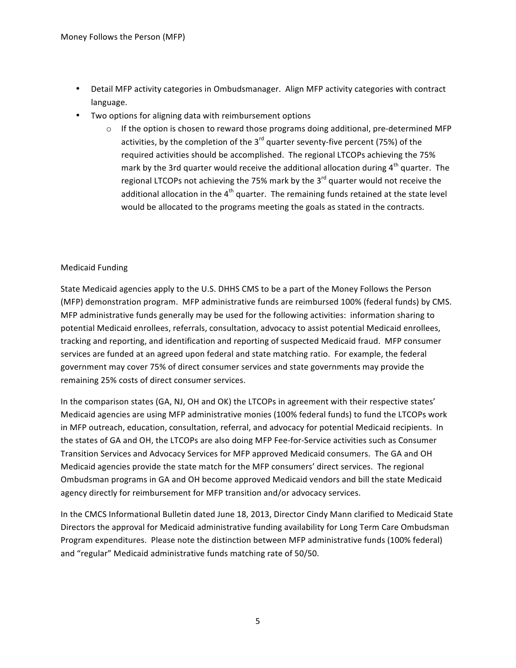- Detail MFP activity categories in Ombudsmanager. Align MFP activity categories with contract language.
- Two options for aligning data with reimbursement options
	- $\circ$  If the option is chosen to reward those programs doing additional, pre-determined MFP activities, by the completion of the 3<sup>rd</sup> quarter seventy-five percent (75%) of the required activities should be accomplished. The regional LTCOPs achieving the 75% mark by the 3rd quarter would receive the additional allocation during  $4<sup>th</sup>$  quarter. The regional LTCOPs not achieving the 75% mark by the  $3<sup>rd</sup>$  quarter would not receive the additional allocation in the  $4<sup>th</sup>$  quarter. The remaining funds retained at the state level would be allocated to the programs meeting the goals as stated in the contracts.

#### Medicaid Funding

State Medicaid agencies apply to the U.S. DHHS CMS to be a part of the Money Follows the Person (MFP) demonstration program. MFP administrative funds are reimbursed 100% (federal funds) by CMS. MFP administrative funds generally may be used for the following activities: information sharing to potential Medicaid enrollees, referrals, consultation, advocacy to assist potential Medicaid enrollees, tracking and reporting, and identification and reporting of suspected Medicaid fraud. MFP consumer services are funded at an agreed upon federal and state matching ratio. For example, the federal government may cover 75% of direct consumer services and state governments may provide the remaining 25% costs of direct consumer services.

In the comparison states (GA, NJ, OH and OK) the LTCOPs in agreement with their respective states' Medicaid agencies are using MFP administrative monies (100% federal funds) to fund the LTCOPs work in MFP outreach, education, consultation, referral, and advocacy for potential Medicaid recipients. In the states of GA and OH, the LTCOPs are also doing MFP Fee-for-Service activities such as Consumer Transition Services and Advocacy Services for MFP approved Medicaid consumers. The GA and OH Medicaid agencies provide the state match for the MFP consumers' direct services. The regional Ombudsman programs in GA and OH become approved Medicaid vendors and bill the state Medicaid agency directly for reimbursement for MFP transition and/or advocacy services.

In the CMCS Informational Bulletin dated June 18, 2013, Director Cindy Mann clarified to Medicaid State Directors the approval for Medicaid administrative funding availability for Long Term Care Ombudsman Program expenditures. Please note the distinction between MFP administrative funds (100% federal) and "regular" Medicaid administrative funds matching rate of 50/50.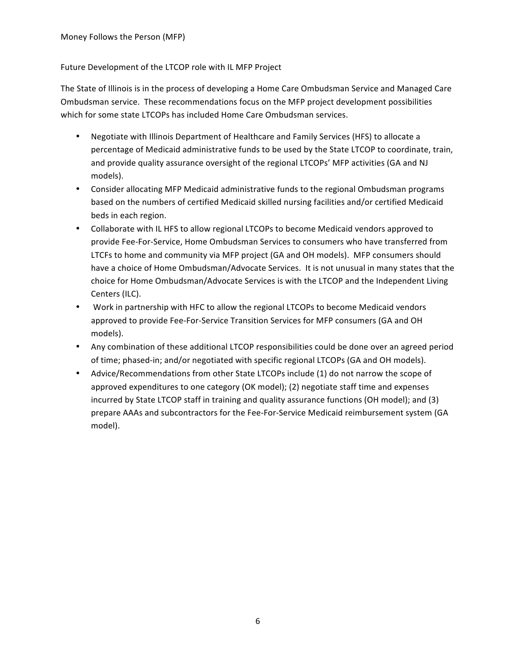#### Future Development of the LTCOP role with IL MFP Project

The State of Illinois is in the process of developing a Home Care Ombudsman Service and Managed Care Ombudsman service. These recommendations focus on the MFP project development possibilities which for some state LTCOPs has included Home Care Ombudsman services.

- Negotiate with Illinois Department of Healthcare and Family Services (HFS) to allocate a percentage of Medicaid administrative funds to be used by the State LTCOP to coordinate, train, and provide quality assurance oversight of the regional LTCOPs' MFP activities (GA and NJ models).
- Consider allocating MFP Medicaid administrative funds to the regional Ombudsman programs based on the numbers of certified Medicaid skilled nursing facilities and/or certified Medicaid beds in each region.
- Collaborate with IL HFS to allow regional LTCOPs to become Medicaid vendors approved to provide Fee-For-Service, Home Ombudsman Services to consumers who have transferred from LTCFs to home and community via MFP project (GA and OH models). MFP consumers should have a choice of Home Ombudsman/Advocate Services. It is not unusual in many states that the choice for Home Ombudsman/Advocate Services is with the LTCOP and the Independent Living Centers (ILC).
- Work in partnership with HFC to allow the regional LTCOPs to become Medicaid vendors approved to provide Fee-For-Service Transition Services for MFP consumers (GA and OH models).
- Any combination of these additional LTCOP responsibilities could be done over an agreed period of time; phased-in; and/or negotiated with specific regional LTCOPs (GA and OH models).
- Advice/Recommendations from other State LTCOPs include (1) do not narrow the scope of approved expenditures to one category (OK model); (2) negotiate staff time and expenses incurred by State LTCOP staff in training and quality assurance functions (OH model); and (3) prepare AAAs and subcontractors for the Fee-For-Service Medicaid reimbursement system (GA model).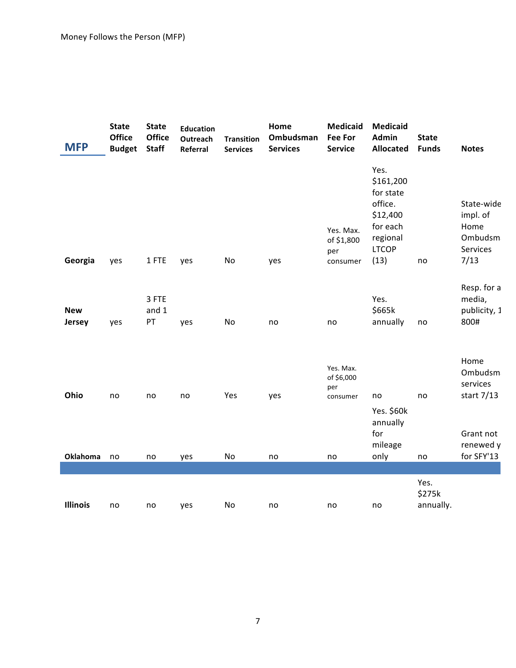| <b>MFP</b>              | <b>State</b><br>Office<br><b>Budget</b> | <b>State</b><br>Office<br><b>Staff</b> | <b>Education</b><br><b>Outreach</b><br>Referral | <b>Transition</b><br><b>Services</b> | Home<br>Ombudsman<br><b>Services</b> | <b>Medicaid</b><br><b>Fee For</b><br><b>Service</b> | <b>Medicaid</b><br><b>Admin</b><br><b>Allocated</b>                                                   | <b>State</b><br><b>Funds</b> | <b>Notes</b>                                                                      |
|-------------------------|-----------------------------------------|----------------------------------------|-------------------------------------------------|--------------------------------------|--------------------------------------|-----------------------------------------------------|-------------------------------------------------------------------------------------------------------|------------------------------|-----------------------------------------------------------------------------------|
| Georgia                 | yes                                     | 1 FTE                                  | yes                                             | No                                   | yes                                  | Yes. Max.<br>of \$1,800<br>per<br>consumer          | Yes.<br>\$161,200<br>for state<br>office.<br>\$12,400<br>for each<br>regional<br><b>LTCOP</b><br>(13) | no                           | State-wide<br>impl. of<br>Home<br>Ombudsm<br>Services<br>7/13                     |
| <b>New</b><br>Jersey    | yes                                     | 3 FTE<br>and 1<br>PT                   | yes                                             | No                                   | no                                   | no                                                  | Yes.<br>\$665k<br>annually                                                                            | no                           | Resp. for a<br>media,<br>publicity, 1<br>800#                                     |
| Ohio<br><b>Oklahoma</b> | no<br>no                                | no<br>no                               | no<br>yes                                       | Yes<br>No                            | yes<br>no                            | Yes. Max.<br>of \$6,000<br>per<br>consumer<br>no    | no<br>Yes. \$60k<br>annually<br>for<br>mileage<br>only                                                | no<br>no                     | Home<br>Ombudsm<br>services<br>start 7/13<br>Grant not<br>renewed y<br>for SFY'13 |
|                         |                                         |                                        |                                                 |                                      |                                      |                                                     |                                                                                                       |                              |                                                                                   |
| <b>Illinois</b>         | no                                      | no                                     | yes                                             | No                                   | no                                   | no                                                  | no                                                                                                    | Yes.<br>\$275k<br>annually.  |                                                                                   |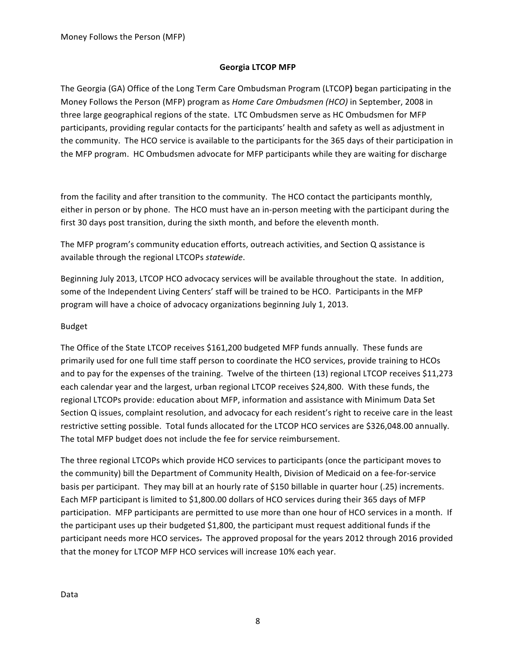### **Georgia LTCOP MFP**

The Georgia (GA) Office of the Long Term Care Ombudsman Program (LTCOP) began participating in the Money Follows the Person (MFP) program as *Home Care Ombudsmen (HCO)* in September, 2008 in three large geographical regions of the state. LTC Ombudsmen serve as HC Ombudsmen for MFP participants, providing regular contacts for the participants' health and safety as well as adjustment in the community. The HCO service is available to the participants for the 365 days of their participation in the MFP program. HC Ombudsmen advocate for MFP participants while they are waiting for discharge

from the facility and after transition to the community. The HCO contact the participants monthly, either in person or by phone. The HCO must have an in-person meeting with the participant during the first 30 days post transition, during the sixth month, and before the eleventh month.

The MFP program's community education efforts, outreach activities, and Section Q assistance is available through the regional LTCOPs statewide.

Beginning July 2013, LTCOP HCO advocacy services will be available throughout the state. In addition, some of the Independent Living Centers' staff will be trained to be HCO. Participants in the MFP program will have a choice of advocacy organizations beginning July 1, 2013.

#### Budget

The Office of the State LTCOP receives \$161,200 budgeted MFP funds annually. These funds are primarily used for one full time staff person to coordinate the HCO services, provide training to HCOs and to pay for the expenses of the training. Twelve of the thirteen (13) regional LTCOP receives \$11,273 each calendar year and the largest, urban regional LTCOP receives \$24,800. With these funds, the regional LTCOPs provide: education about MFP, information and assistance with Minimum Data Set Section Q issues, complaint resolution, and advocacy for each resident's right to receive care in the least restrictive setting possible. Total funds allocated for the LTCOP HCO services are \$326,048.00 annually. The total MFP budget does not include the fee for service reimbursement.

The three regional LTCOPs which provide HCO services to participants (once the participant moves to the community) bill the Department of Community Health, Division of Medicaid on a fee-for-service basis per participant. They may bill at an hourly rate of \$150 billable in quarter hour (.25) increments. Each MFP participant is limited to \$1,800.00 dollars of HCO services during their 365 days of MFP participation. MFP participants are permitted to use more than one hour of HCO services in a month. If the participant uses up their budgeted \$1,800, the participant must request additional funds if the participant needs more HCO services. The approved proposal for the years 2012 through 2016 provided that the money for LTCOP MFP HCO services will increase 10% each year.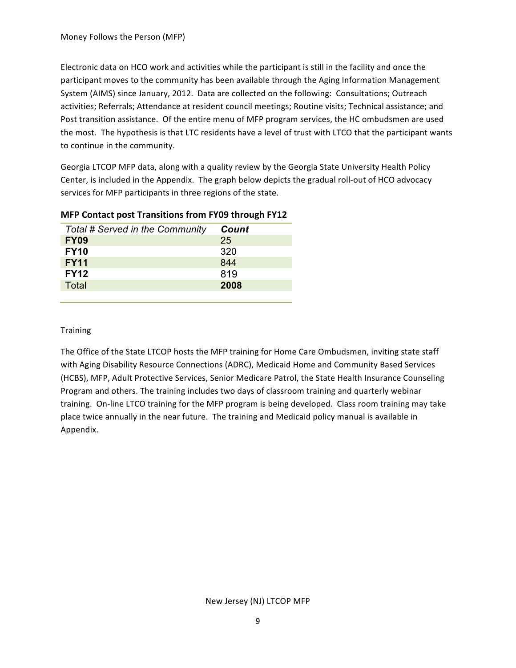Electronic data on HCO work and activities while the participant is still in the facility and once the participant moves to the community has been available through the Aging Information Management System (AIMS) since January, 2012. Data are collected on the following: Consultations; Outreach activities; Referrals; Attendance at resident council meetings; Routine visits; Technical assistance; and Post transition assistance. Of the entire menu of MFP program services, the HC ombudsmen are used the most. The hypothesis is that LTC residents have a level of trust with LTCO that the participant wants to continue in the community.

Georgia LTCOP MFP data, along with a quality review by the Georgia State University Health Policy Center, is included in the Appendix. The graph below depicts the gradual roll-out of HCO advocacy services for MFP participants in three regions of the state.

| Total # Served in the Community | Count |
|---------------------------------|-------|
| <b>FY09</b>                     | 25    |
| <b>FY10</b>                     | 320   |
| <b>FY11</b>                     | 844   |
| <b>FY12</b>                     | 819   |
| Total                           | 2008  |
|                                 |       |

# **MFP Contact post Transitions from FY09 through FY12**

#### **Training**

The Office of the State LTCOP hosts the MFP training for Home Care Ombudsmen, inviting state staff with Aging Disability Resource Connections (ADRC), Medicaid Home and Community Based Services (HCBS), MFP, Adult Protective Services, Senior Medicare Patrol, the State Health Insurance Counseling Program and others. The training includes two days of classroom training and quarterly webinar training. On-line LTCO training for the MFP program is being developed. Class room training may take place twice annually in the near future. The training and Medicaid policy manual is available in Appendix.

#### New Jersey (NJ) LTCOP MFP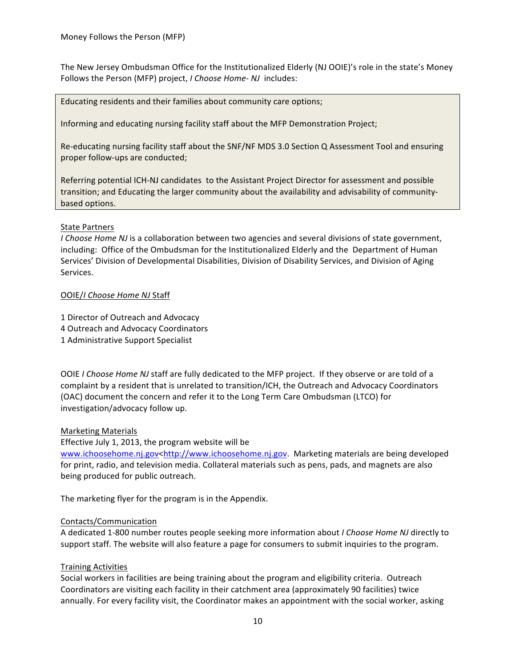The New Jersey Ombudsman Office for the Institutionalized Elderly (NJ OOIE)'s role in the state's Money Follows the Person (MFP) project, *I Choose Home-NJ* includes:

Educating residents and their families about community care options;

Informing and educating nursing facility staff about the MFP Demonstration Project;

Re-educating nursing facility staff about the SNF/NF MDS 3.0 Section Q Assessment Tool and ensuring proper follow-ups are conducted;

Referring potential ICH-NJ candidates to the Assistant Project Director for assessment and possible transition; and Educating the larger community about the availability and advisability of communitybased options.

#### State Partners

*I Choose Home NJ* is a collaboration between two agencies and several divisions of state government, including: Office of the Ombudsman for the Institutionalized Elderly and the Department of Human Services' Division of Developmental Disabilities, Division of Disability Services, and Division of Aging Services.

### OOIE/*I%Choose%Home%NJ* Staff

1 Director of Outreach and Advocacy

- 4 Outreach and Advocacy Coordinators
- 1 Administrative Support Specialist

OOIE *I Choose Home NJ* staff are fully dedicated to the MFP project. If they observe or are told of a complaint by a resident that is unrelated to transition/ICH, the Outreach and Advocacy Coordinators (OAC) document the concern and refer it to the Long Term Care Ombudsman (LTCO) for investigation/advocacy follow up.

#### **Marketing Materials**

#### Effective July 1, 2013, the program website will be

www.ichoosehome.nj.gov<http://www.ichoosehome.nj.gov. Marketing materials are being developed for print, radio, and television media. Collateral materials such as pens, pads, and magnets are also being produced for public outreach.

The marketing flyer for the program is in the Appendix.

#### Contacts/Communication

A dedicated 1-800 number routes people seeking more information about *I Choose Home NJ* directly to support staff. The website will also feature a page for consumers to submit inquiries to the program.

#### **Training Activities**

Social workers in facilities are being training about the program and eligibility criteria. Outreach Coordinators are visiting each facility in their catchment area (approximately 90 facilities) twice annually. For every facility visit, the Coordinator makes an appointment with the social worker, asking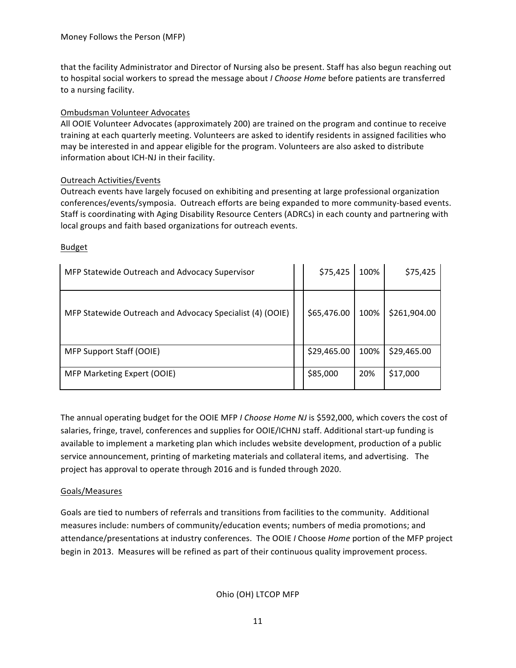that the facility Administrator and Director of Nursing also be present. Staff has also begun reaching out to hospital social workers to spread the message about *I Choose Home* before patients are transferred to a nursing facility.

## Ombudsman Volunteer Advocates

All OOIE Volunteer Advocates (approximately 200) are trained on the program and continue to receive training at each quarterly meeting. Volunteers are asked to identify residents in assigned facilities who may be interested in and appear eligible for the program. Volunteers are also asked to distribute information about ICH-NJ in their facility.

# Outreach Activities/Events

Outreach events have largely focused on exhibiting and presenting at large professional organization conferences/events/symposia. Outreach efforts are being expanded to more community-based events. Staff is coordinating with Aging Disability Resource Centers (ADRCs) in each county and partnering with local groups and faith based organizations for outreach events.

### Budget

| MFP Statewide Outreach and Advocacy Supervisor            | \$75,425    | 100% | \$75,425     |
|-----------------------------------------------------------|-------------|------|--------------|
| MFP Statewide Outreach and Advocacy Specialist (4) (OOIE) | \$65,476.00 | 100% | \$261,904.00 |
| MFP Support Staff (OOIE)                                  | \$29,465.00 | 100% | \$29,465.00  |
| MFP Marketing Expert (OOIE)                               | \$85,000    | 20%  | \$17,000     |

The annual operating budget for the OOIE MFP *I Choose Home NJ* is \$592,000, which covers the cost of salaries, fringe, travel, conferences and supplies for OOIE/ICHNJ staff. Additional start-up funding is available to implement a marketing plan which includes website development, production of a public service announcement, printing of marketing materials and collateral items, and advertising. The project has approval to operate through 2016 and is funded through 2020.

# Goals/Measures

Goals are tied to numbers of referrals and transitions from facilities to the community. Additional measures include: numbers of community/education events; numbers of media promotions; and attendance/presentations at industry conferences. The OOIE *I* Choose *Home* portion of the MFP project begin in 2013. Measures will be refined as part of their continuous quality improvement process.

Ohio (OH) LTCOP MFP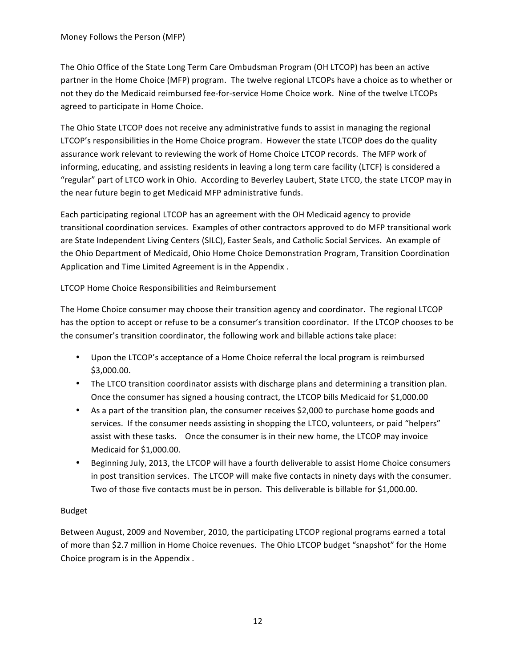The Ohio Office of the State Long Term Care Ombudsman Program (OH LTCOP) has been an active partner in the Home Choice (MFP) program. The twelve regional LTCOPs have a choice as to whether or not they do the Medicaid reimbursed fee-for-service Home Choice work. Nine of the twelve LTCOPs agreed to participate in Home Choice.

The Ohio State LTCOP does not receive any administrative funds to assist in managing the regional LTCOP's responsibilities in the Home Choice program. However the state LTCOP does do the quality assurance work relevant to reviewing the work of Home Choice LTCOP records. The MFP work of informing, educating, and assisting residents in leaving a long term care facility (LTCF) is considered a "regular" part of LTCO work in Ohio. According to Beverley Laubert, State LTCO, the state LTCOP may in the near future begin to get Medicaid MFP administrative funds.

Each participating regional LTCOP has an agreement with the OH Medicaid agency to provide transitional coordination services. Examples of other contractors approved to do MFP transitional work are State Independent Living Centers (SILC), Easter Seals, and Catholic Social Services. An example of the Ohio Department of Medicaid, Ohio Home Choice Demonstration Program, Transition Coordination Application and Time Limited Agreement is in the Appendix .

# LTCOP Home Choice Responsibilities and Reimbursement

The Home Choice consumer may choose their transition agency and coordinator. The regional LTCOP has the option to accept or refuse to be a consumer's transition coordinator. If the LTCOP chooses to be the consumer's transition coordinator, the following work and billable actions take place:

- Upon the LTCOP's acceptance of a Home Choice referral the local program is reimbursed \$3,000.00.
- The LTCO transition coordinator assists with discharge plans and determining a transition plan. Once the consumer has signed a housing contract, the LTCOP bills Medicaid for  $$1,000.00$
- As a part of the transition plan, the consumer receives \$2,000 to purchase home goods and services. If the consumer needs assisting in shopping the LTCO, volunteers, or paid "helpers" assist with these tasks. Once the consumer is in their new home, the LTCOP may invoice Medicaid for \$1,000.00.
- Beginning July, 2013, the LTCOP will have a fourth deliverable to assist Home Choice consumers in post transition services. The LTCOP will make five contacts in ninety days with the consumer. Two of those five contacts must be in person. This deliverable is billable for \$1,000.00.

# Budget

Between August, 2009 and November, 2010, the participating LTCOP regional programs earned a total of more than \$2.7 million in Home Choice revenues. The Ohio LTCOP budget "snapshot" for the Home Choice program is in the Appendix.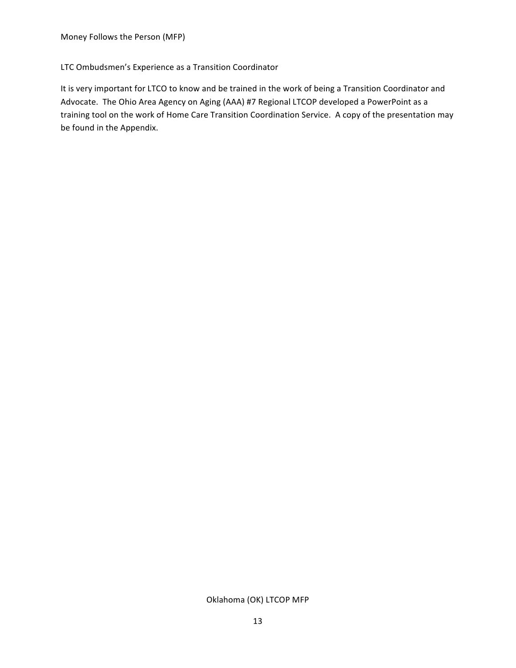### LTC Ombudsmen's Experience as a Transition Coordinator

It is very important for LTCO to know and be trained in the work of being a Transition Coordinator and Advocate. The Ohio Area Agency on Aging (AAA) #7 Regional LTCOP developed a PowerPoint as a training tool on the work of Home Care Transition Coordination Service. A copy of the presentation may be found in the Appendix.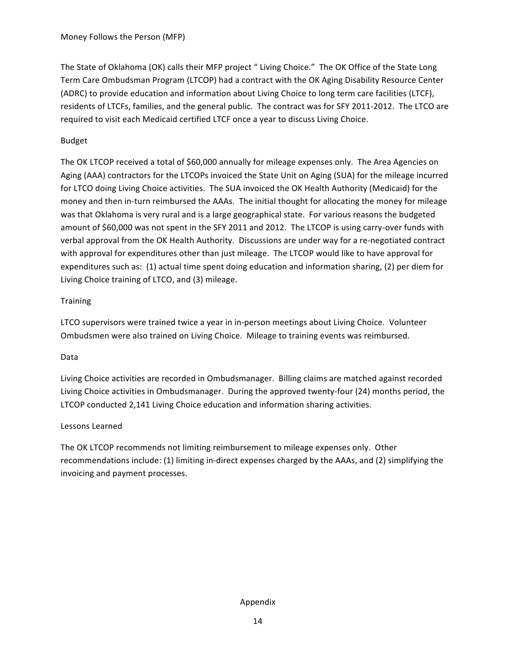The State of Oklahoma (OK) calls their MFP project " Living Choice." The OK Office of the State Long Term Care Ombudsman Program (LTCOP) had a contract with the OK Aging Disability Resource Center (ADRC) to provide education and information about Living Choice to long term care facilities (LTCF), residents of LTCFs, families, and the general public. The contract was for SFY 2011-2012. The LTCO are required to visit each Medicaid certified LTCF once a year to discuss Living Choice.

# Budget

The OK LTCOP received a total of \$60,000 annually for mileage expenses only. The Area Agencies on Aging (AAA) contractors for the LTCOPs invoiced the State Unit on Aging (SUA) for the mileage incurred for LTCO doing Living Choice activities. The SUA invoiced the OK Health Authority (Medicaid) for the money and then in-turn reimbursed the AAAs. The initial thought for allocating the money for mileage was that Oklahoma is very rural and is a large geographical state. For various reasons the budgeted amount of \$60,000 was not spent in the SFY 2011 and 2012. The LTCOP is using carry-over funds with verbal approval from the OK Health Authority. Discussions are under way for a re-negotiated contract with approval for expenditures other than just mileage. The LTCOP would like to have approval for expenditures such as: (1) actual time spent doing education and information sharing, (2) per diem for Living Choice training of LTCO, and (3) mileage.

# **Training**

LTCO supervisors were trained twice a year in in-person meetings about Living Choice. Volunteer Ombudsmen were also trained on Living Choice. Mileage to training events was reimbursed.

# Data

Living Choice activities are recorded in Ombudsmanager. Billing claims are matched against recorded Living Choice activities in Ombudsmanager. During the approved twenty-four (24) months period, the LTCOP conducted 2,141 Living Choice education and information sharing activities.

# Lessons Learned

The OK LTCOP recommends not limiting reimbursement to mileage expenses only. Other recommendations include: (1) limiting in-direct expenses charged by the AAAs, and (2) simplifying the invoicing and payment processes.